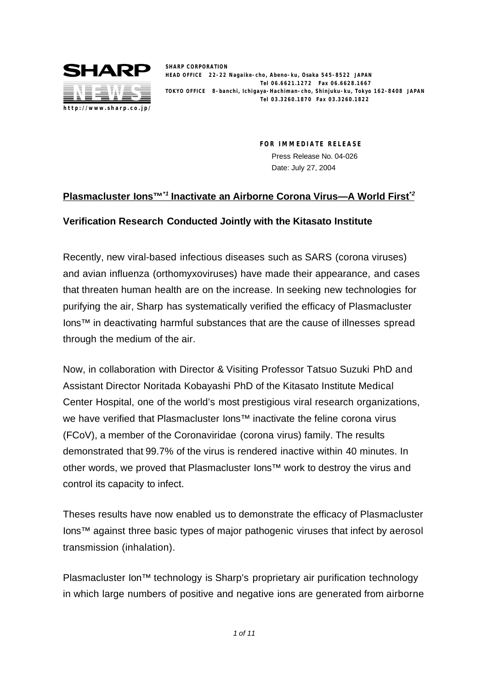

**SHARP CORPORATION HEAD OFFICE 22-22 Nagaike-cho, Abeno-ku, Osaka 545-8522 JAPAN Tel 06.6621.1272 Fax 06.6628.1667 TOKYO OFFICE 8-banchi, Ichigaya-Hachiman-cho, Shinjuku-ku, Tokyo 162-8408 JAPAN Tel 03.3260.1870 Fax 03.3260.1822**

> **FOR IMMEDIATE RELEASE** Press Release No. 04-026 Date: July 27, 2004

# **Plasmacluster Ions™\*1 Inactivate an Airborne Corona Virus—A World First\*2**

## **Verification Research Conducted Jointly with the Kitasato Institute**

Recently, new viral-based infectious diseases such as SARS (corona viruses) and avian influenza (orthomyxoviruses) have made their appearance, and cases that threaten human health are on the increase. In seeking new technologies for purifying the air, Sharp has systematically verified the efficacy of Plasmacluster Ions™ in deactivating harmful substances that are the cause of illnesses spread through the medium of the air.

Now, in collaboration with Director & Visiting Professor Tatsuo Suzuki PhD and Assistant Director Noritada Kobayashi PhD of the Kitasato Institute Medical Center Hospital, one of the world's most prestigious viral research organizations, we have verified that Plasmacluster Ions™ inactivate the feline corona virus (FCoV), a member of the Coronaviridae (corona virus) family. The results demonstrated that 99.7% of the virus is rendered inactive within 40 minutes. In other words, we proved that Plasmacluster Ions™ work to destroy the virus and control its capacity to infect.

Theses results have now enabled us to demonstrate the efficacy of Plasmacluster Ions™ against three basic types of major pathogenic viruses that infect by aerosol transmission (inhalation).

Plasmacluster Ion<sup>™</sup> technology is Sharp's proprietary air purification technology in which large numbers of positive and negative ions are generated from airborne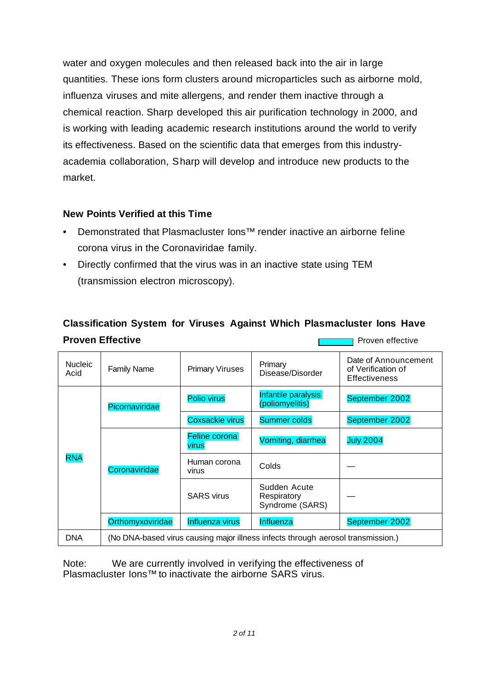water and oxygen molecules and then released back into the air in large quantities. These ions form clusters around microparticles such as airborne mold, influenza viruses and mite allergens, and render them inactive through a chemical reaction. Sharp developed this air purification technology in 2000, and is working with leading academic research institutions around the world to verify its effectiveness. Based on the scientific data that emerges from this industryacademia collaboration, Sharp will develop and introduce new products to the market.

## **New Points Verified at this Time**

- Demonstrated that Plasmacluster Ions™ render inactive an airborne feline corona virus in the Coronaviridae family.
- Directly confirmed that the virus was in an inactive state using TEM (transmission electron microscopy).

# **Classification System for Viruses Against Which Plasmacluster Ions Have Proven Effective Proven Effective**

| <b>Nucleic</b><br>Acid | <b>Family Name</b>                                                               | <b>Primary Viruses</b> | Primary<br>Disease/Disorder                    | Date of Announcement<br>of Verification of<br><b>Effectiveness</b> |  |
|------------------------|----------------------------------------------------------------------------------|------------------------|------------------------------------------------|--------------------------------------------------------------------|--|
| <b>RNA</b>             | Picornaviridae                                                                   | <b>Polio virus</b>     | Infantile paralysis<br>(poliomyelitis)         | September 2002                                                     |  |
|                        |                                                                                  | <b>Coxsackie virus</b> | <b>Summer colds</b>                            | September 2002                                                     |  |
|                        | Coronaviridae                                                                    | Feline corona<br>virus | Vomiting, diarrhea                             | <b>July 2004</b>                                                   |  |
|                        |                                                                                  | Human corona<br>virus  | Colds                                          |                                                                    |  |
|                        |                                                                                  | <b>SARS</b> virus      | Sudden Acute<br>Respiratory<br>Syndrome (SARS) |                                                                    |  |
|                        | Orthomyxoviridae                                                                 | Influenza virus        | Influenza                                      | September 2002                                                     |  |
| <b>DNA</b>             | (No DNA-based virus causing major illness infects through aerosol transmission.) |                        |                                                |                                                                    |  |

Note: We are currently involved in verifying the effectiveness of Plasmacluster Ions™ to inactivate the airborne SARS virus.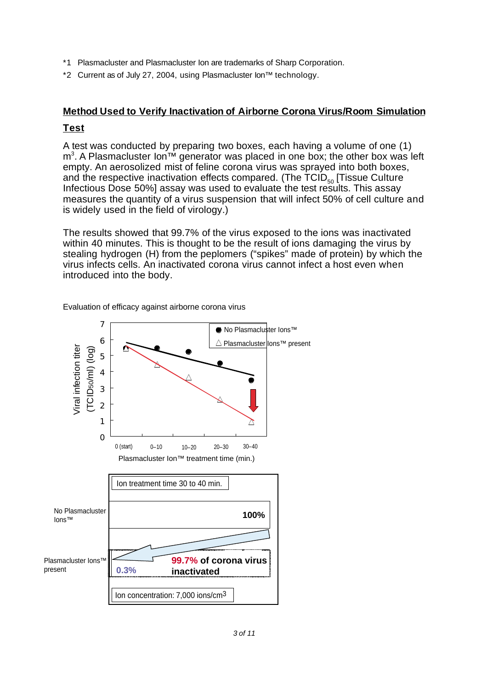- \*1 Plasmacluster and Plasmacluster Ion are trademarks of Sharp Corporation.
- \*2 Current as of July 27, 2004, using Plasmacluster Ion™ technology.

# **Method Used to Verify Inactivation of Airborne Corona Virus/Room Simulation**

# **Test**

A test was conducted by preparing two boxes, each having a volume of one (1) m<sup>3</sup>. A Plasmacluster lon™ generator was placed in one box; the other box was left empty. An aerosolized mist of feline corona virus was sprayed into both boxes, and the respective inactivation effects compared. (The  $TCID_{50}$  [Tissue Culture Infectious Dose 50%] assay was used to evaluate the test results. This assay measures the quantity of a virus suspension that will infect 50% of cell culture and is widely used in the field of virology.)

The results showed that 99.7% of the virus exposed to the ions was inactivated within 40 minutes. This is thought to be the result of ions damaging the virus by stealing hydrogen (H) from the peplomers ("spikes" made of protein) by which the virus infects cells. An inactivated corona virus cannot infect a host even when introduced into the body.



Evaluation of efficacy against airborne corona virus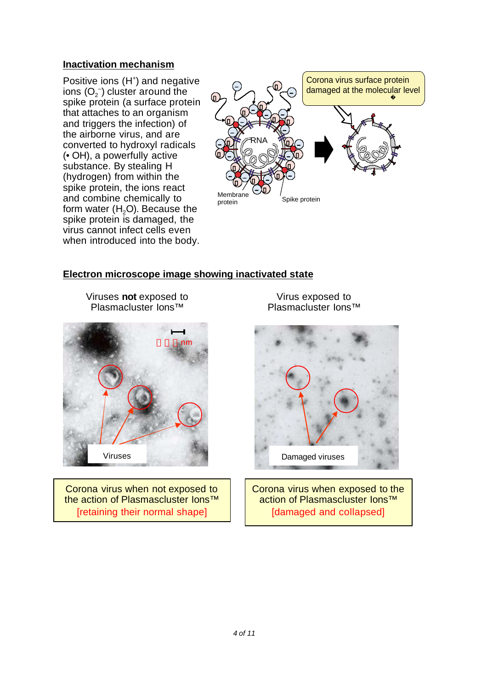### **Inactivation mechanism**

Positive ions (H<sup>+</sup>) and negative ions (O $_2^{\text{-}}$ ) cluster around the spike protein (a surface protein that attaches to an organism and triggers the infection) of the airborne virus, and are converted to hydroxyl radicals (• OH), a powerfully active substance. By stealing H (hydrogen) from within the spike protein, the ions react and combine chemically to form water  $(H<sub>2</sub>O)$ . Because the spike protein is damaged, the virus cannot infect cells even when introduced into the body.



### **Electron microscope image showing inactivated state**

Viruses **not** exposed to Plasmacluster Ions™



Corona virus when not exposed to the action of Plasmascluster Ions™ [retaining their normal shape]

Virus exposed to Plasmacluster Ions™



Corona virus when exposed to the action of Plasmascluster Ions™ [damaged and collapsed]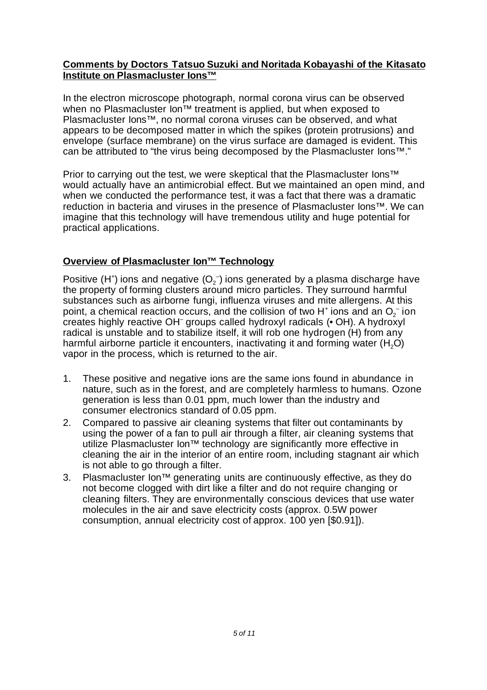#### **Comments by Doctors Tatsuo Suzuki and Noritada Kobayashi of the Kitasato Institute on Plasmacluster Ions™**

In the electron microscope photograph, normal corona virus can be observed when no Plasmacluster Ion<sup>™</sup> treatment is applied, but when exposed to Plasmacluster Ions™, no normal corona viruses can be observed, and what appears to be decomposed matter in which the spikes (protein protrusions) and envelope (surface membrane) on the virus surface are damaged is evident. This can be attributed to "the virus being decomposed by the Plasmacluster Ions™."

Prior to carrying out the test, we were skeptical that the Plasmacluster lons<sup>™</sup> would actually have an antimicrobial effect. But we maintained an open mind, and when we conducted the performance test, it was a fact that there was a dramatic reduction in bacteria and viruses in the presence of Plasmacluster Ions™. We can imagine that this technology will have tremendous utility and huge potential for practical applications.

# **Overview of Plasmacluster Ion™ Technology**

Positive (H<sup>+</sup>) ions and negative (O<sub>2</sub><sup>-</sup>) ions generated by a plasma discharge have the property of forming clusters around micro particles. They surround harmful substances such as airborne fungi, influenza viruses and mite allergens. At this point, a chemical reaction occurs, and the collision of two H<sup>+</sup> ions and an O<sub>2</sub><sup>-</sup> ion creates highly reactive OH<sup>-</sup> groups called hydroxyl radicals (• OH). A hydroxyl radical is unstable and to stabilize itself, it will rob one hydrogen (H) from any harmful airborne particle it encounters, inactivating it and forming water  $(H<sub>2</sub>O)$ vapor in the process, which is returned to the air.

- 1. These positive and negative ions are the same ions found in abundance in nature, such as in the forest, and are completely harmless to humans. Ozone generation is less than 0.01 ppm, much lower than the industry and consumer electronics standard of 0.05 ppm.
- 2. Compared to passive air cleaning systems that filter out contaminants by using the power of a fan to pull air through a filter, air cleaning systems that utilize Plasmacluster Ion<sup>™</sup> technology are significantly more effective in cleaning the air in the interior of an entire room, including stagnant air which is not able to go through a filter.
- 3. Plasmacluster Ion™ generating units are continuously effective, as they do not become clogged with dirt like a filter and do not require changing or cleaning filters. They are environmentally conscious devices that use water molecules in the air and save electricity costs (approx. 0.5W power consumption, annual electricity cost of approx. 100 yen [\$0.91]).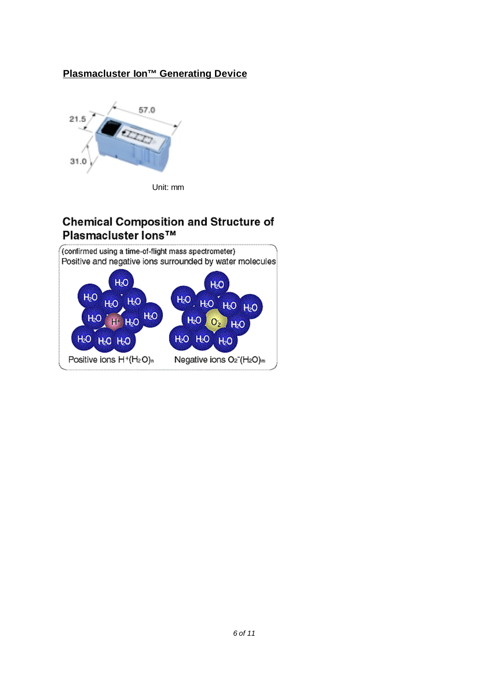# **Plasmacluster Ion™ Generating Device**



# **Chemical Composition and Structure of** Plasmacluster lons™

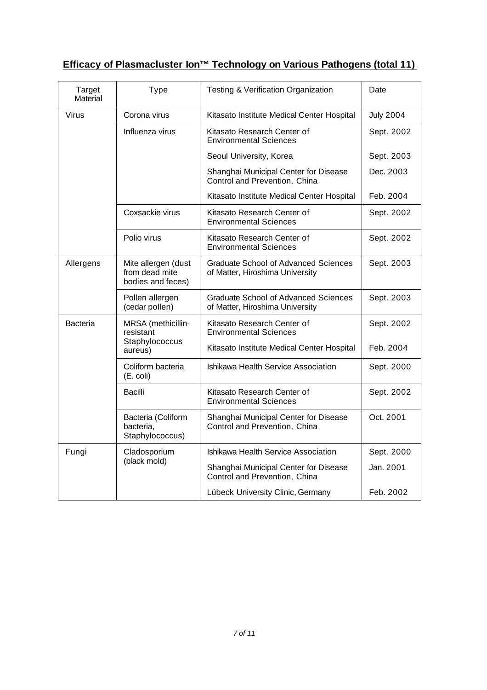# **Efficacy of Plasmacluster Ion™ Technology on Various Pathogens (total 11)**

| <b>Target</b><br><b>Type</b><br>Material |                                                            | <b>Testing &amp; Verification Organization</b>                                 | Date             |
|------------------------------------------|------------------------------------------------------------|--------------------------------------------------------------------------------|------------------|
| <b>Virus</b>                             | Corona virus                                               | Kitasato Institute Medical Center Hospital                                     | <b>July 2004</b> |
|                                          | Influenza virus                                            | Kitasato Research Center of<br><b>Environmental Sciences</b>                   | Sept. 2002       |
|                                          |                                                            | Seoul University, Korea                                                        | Sept. 2003       |
|                                          |                                                            | Shanghai Municipal Center for Disease<br>Control and Prevention, China         | Dec. 2003        |
|                                          |                                                            | Kitasato Institute Medical Center Hospital                                     | Feb. 2004        |
|                                          | Coxsackie virus                                            | Kitasato Research Center of<br><b>Environmental Sciences</b>                   | Sept. 2002       |
|                                          | Polio virus                                                | Kitasato Research Center of<br><b>Environmental Sciences</b>                   |                  |
| Allergens                                | Mite allergen (dust<br>from dead mite<br>bodies and feces) | <b>Graduate School of Advanced Sciences</b><br>of Matter, Hiroshima University | Sept. 2003       |
|                                          | Pollen allergen<br>(cedar pollen)                          | Graduate School of Advanced Sciences<br>of Matter, Hiroshima University        | Sept. 2003       |
| <b>Bacteria</b>                          | MRSA (methicillin-<br>resistant                            | Kitasato Research Center of<br><b>Environmental Sciences</b>                   | Sept. 2002       |
|                                          | Staphylococcus<br>aureus)                                  | Kitasato Institute Medical Center Hospital                                     | Feb. 2004        |
|                                          | Coliform bacteria<br>(E. coli)                             | Ishikawa Health Service Association                                            | Sept. 2000       |
|                                          | Bacilli                                                    | Kitasato Research Center of<br><b>Environmental Sciences</b>                   | Sept. 2002       |
|                                          | Bacteria (Coliform<br>bacteria,<br>Staphylococcus)         | Shanghai Municipal Center for Disease<br>Control and Prevention, China         | Oct. 2001        |
| Fungi                                    | Cladosporium                                               | Ishikawa Health Service Association                                            | Sept. 2000       |
|                                          | (black mold)                                               | Shanghai Municipal Center for Disease<br>Control and Prevention, China         | Jan. 2001        |
|                                          |                                                            | Lübeck University Clinic, Germany                                              | Feb. 2002        |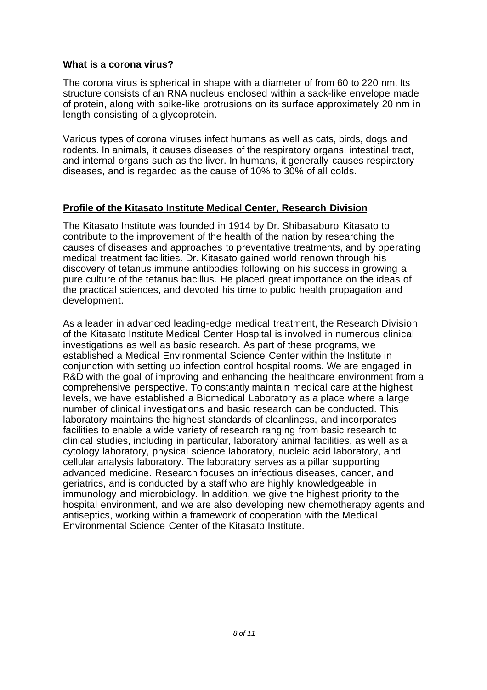#### **What is a corona virus?**

The corona virus is spherical in shape with a diameter of from 60 to 220 nm. Its structure consists of an RNA nucleus enclosed within a sack-like envelope made of protein, along with spike-like protrusions on its surface approximately 20 nm in length consisting of a glycoprotein.

Various types of corona viruses infect humans as well as cats, birds, dogs and rodents. In animals, it causes diseases of the respiratory organs, intestinal tract, and internal organs such as the liver. In humans, it generally causes respiratory diseases, and is regarded as the cause of 10% to 30% of all colds.

### **Profile of the Kitasato Institute Medical Center, Research Division**

The Kitasato Institute was founded in 1914 by Dr. Shibasaburo Kitasato to contribute to the improvement of the health of the nation by researching the causes of diseases and approaches to preventative treatments, and by operating medical treatment facilities. Dr. Kitasato gained world renown through his discovery of tetanus immune antibodies following on his success in growing a pure culture of the tetanus bacillus. He placed great importance on the ideas of the practical sciences, and devoted his time to public health propagation and development.

As a leader in advanced leading-edge medical treatment, the Research Division of the Kitasato Institute Medical Center Hospital is involved in numerous clinical investigations as well as basic research. As part of these programs, we established a Medical Environmental Science Center within the Institute in conjunction with setting up infection control hospital rooms. We are engaged in R&D with the goal of improving and enhancing the healthcare environment from a comprehensive perspective. To constantly maintain medical care at the highest levels, we have established a Biomedical Laboratory as a place where a large number of clinical investigations and basic research can be conducted. This laboratory maintains the highest standards of cleanliness, and incorporates facilities to enable a wide variety of research ranging from basic research to clinical studies, including in particular, laboratory animal facilities, as well as a cytology laboratory, physical science laboratory, nucleic acid laboratory, and cellular analysis laboratory. The laboratory serves as a pillar supporting advanced medicine. Research focuses on infectious diseases, cancer, and geriatrics, and is conducted by a staff who are highly knowledgeable in immunology and microbiology. In addition, we give the highest priority to the hospital environment, and we are also developing new chemotherapy agents and antiseptics, working within a framework of cooperation with the Medical Environmental Science Center of the Kitasato Institute.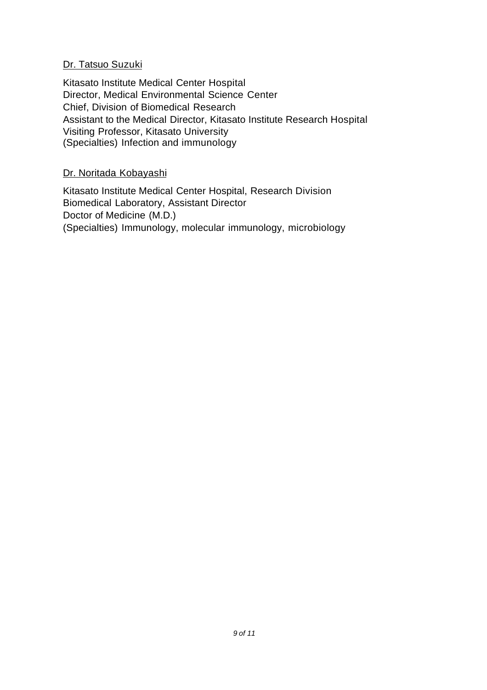## Dr. Tatsuo Suzuki

Kitasato Institute Medical Center Hospital Director, Medical Environmental Science Center Chief, Division of Biomedical Research Assistant to the Medical Director, Kitasato Institute Research Hospital Visiting Professor, Kitasato University (Specialties) Infection and immunology

## Dr. Noritada Kobayashi

Kitasato Institute Medical Center Hospital, Research Division Biomedical Laboratory, Assistant Director Doctor of Medicine (M.D.) (Specialties) Immunology, molecular immunology, microbiology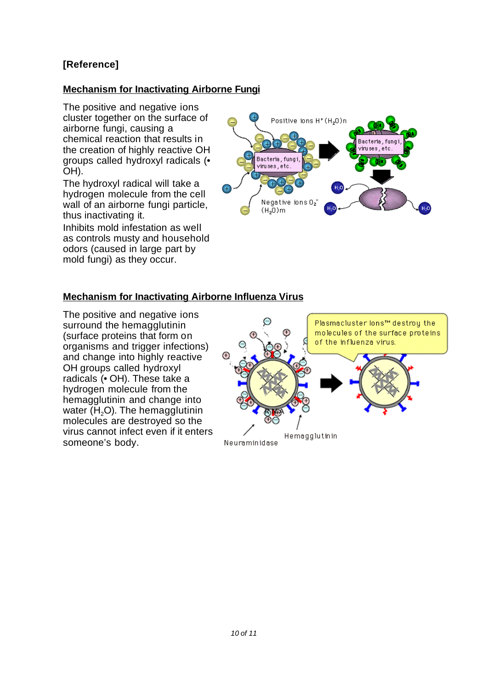# **[Reference]**

# **Mechanism for Inactivating Airborne Fungi**

The positive and negative ions cluster together on the surface of airborne fungi, causing a chemical reaction that results in the creation of highly reactive OH groups called hydroxyl radicals (• OH).

The hydroxyl radical will take a hydrogen molecule from the cell wall of an airborne fungi particle, thus inactivating it.

Inhibits mold infestation as well as controls musty and household odors (caused in large part by mold fungi) as they occur.



# **Mechanism for Inactivating Airborne Influenza Virus**

The positive and negative ions surround the hemagglutinin (surface proteins that form on organisms and trigger infections) and change into highly reactive OH groups called hydroxyl radicals (• OH). These take a hydrogen molecule from the hemagglutinin and change into water  $(H<sub>2</sub>O)$ . The hemagglutinin molecules are destroyed so the virus cannot infect even if it enters someone's body.